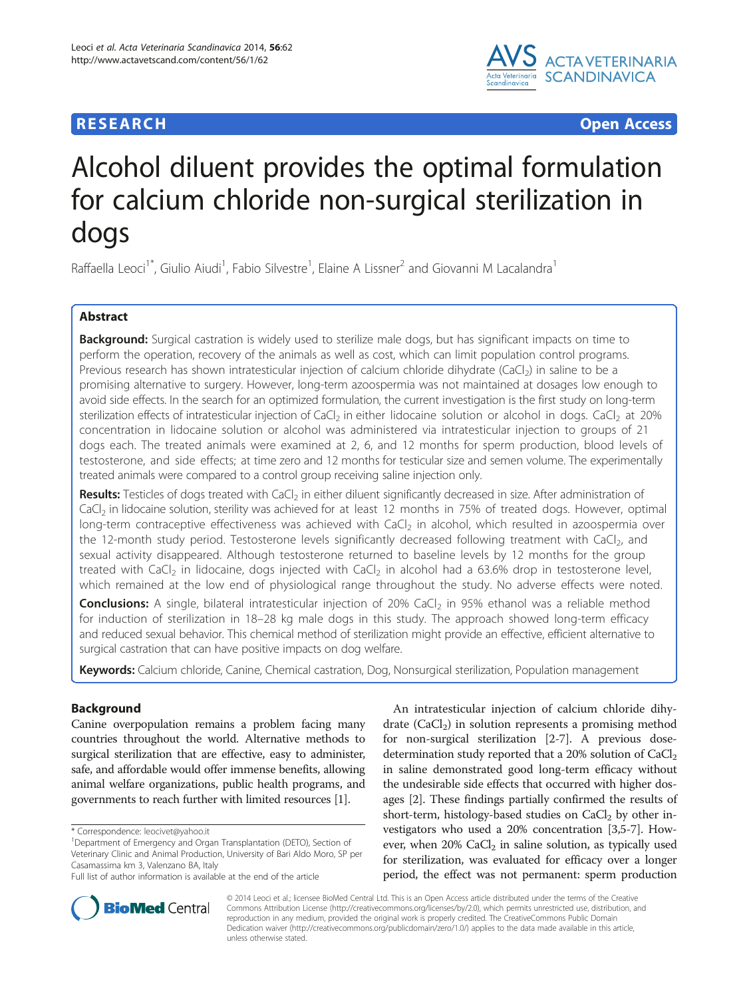## **RESEARCH CHE Open Access**



# Alcohol diluent provides the optimal formulation for calcium chloride non-surgical sterilization in dogs

Raffaella Leoci<sup>1\*</sup>, Giulio Aiudi<sup>1</sup>, Fabio Silvestre<sup>1</sup>, Elaine A Lissner<sup>2</sup> and Giovanni M Lacalandra<sup>1</sup>

## Abstract

Background: Surgical castration is widely used to sterilize male dogs, but has significant impacts on time to perform the operation, recovery of the animals as well as cost, which can limit population control programs. Previous research has shown intratesticular injection of calcium chloride dihydrate (CaCl<sub>2</sub>) in saline to be a promising alternative to surgery. However, long-term azoospermia was not maintained at dosages low enough to avoid side effects. In the search for an optimized formulation, the current investigation is the first study on long-term sterilization effects of intratesticular injection of CaCl<sub>2</sub> in either lidocaine solution or alcohol in dogs. CaCl<sub>2</sub> at 20% concentration in lidocaine solution or alcohol was administered via intratesticular injection to groups of 21 dogs each. The treated animals were examined at 2, 6, and 12 months for sperm production, blood levels of testosterone, and side effects; at time zero and 12 months for testicular size and semen volume. The experimentally treated animals were compared to a control group receiving saline injection only.

Results: Testicles of dogs treated with CaCl<sub>2</sub> in either diluent significantly decreased in size. After administration of CaCl<sub>2</sub> in lidocaine solution, sterility was achieved for at least 12 months in 75% of treated dogs. However, optimal long-term contraceptive effectiveness was achieved with CaCl<sub>2</sub> in alcohol, which resulted in azoospermia over the 12-month study period. Testosterone levels significantly decreased following treatment with CaCl<sub>2</sub>, and sexual activity disappeared. Although testosterone returned to baseline levels by 12 months for the group treated with CaCl<sub>2</sub> in lidocaine, dogs injected with CaCl<sub>2</sub> in alcohol had a 63.6% drop in testosterone level, which remained at the low end of physiological range throughout the study. No adverse effects were noted.

**Conclusions:** A single, bilateral intratesticular injection of 20% CaCl<sub>2</sub> in 95% ethanol was a reliable method for induction of sterilization in 18–28 kg male dogs in this study. The approach showed long-term efficacy and reduced sexual behavior. This chemical method of sterilization might provide an effective, efficient alternative to surgical castration that can have positive impacts on dog welfare.

Keywords: Calcium chloride, Canine, Chemical castration, Dog, Nonsurgical sterilization, Population management

## Background

Canine overpopulation remains a problem facing many countries throughout the world. Alternative methods to surgical sterilization that are effective, easy to administer, safe, and affordable would offer immense benefits, allowing animal welfare organizations, public health programs, and governments to reach further with limited resources [[1\]](#page-6-0).

\* Correspondence: [leocivet@yahoo.it](mailto:leocivet@yahoo.it) <sup>1</sup>

An intratesticular injection of calcium chloride dihydrate  $(CaCl<sub>2</sub>)$  in solution represents a promising method for non-surgical sterilization [[2-7\]](#page-6-0). A previous dosedetermination study reported that a 20% solution of  $CaCl<sub>2</sub>$ in saline demonstrated good long-term efficacy without the undesirable side effects that occurred with higher dosages [\[2](#page-6-0)]. These findings partially confirmed the results of short-term, histology-based studies on  $CaCl<sub>2</sub>$  by other investigators who used a 20% concentration [\[3,5](#page-6-0)-[7](#page-6-0)]. However, when  $20\%$  CaCl<sub>2</sub> in saline solution, as typically used for sterilization, was evaluated for efficacy over a longer period, the effect was not permanent: sperm production



© 2014 Leoci et al.; licensee BioMed Central Ltd. This is an Open Access article distributed under the terms of the Creative Commons Attribution License [\(http://creativecommons.org/licenses/by/2.0\)](http://creativecommons.org/licenses/by/2.0), which permits unrestricted use, distribution, and reproduction in any medium, provided the original work is properly credited. The CreativeCommons Public Domain Dedication waiver [\(http://creativecommons.org/publicdomain/zero/1.0/](http://creativecommons.org/publicdomain/zero/1.0/)) applies to the data made available in this article, unless otherwise stated.

Department of Emergency and Organ Transplantation (DETO), Section of Veterinary Clinic and Animal Production, University of Bari Aldo Moro, SP per Casamassima km 3, Valenzano BA, Italy

Full list of author information is available at the end of the article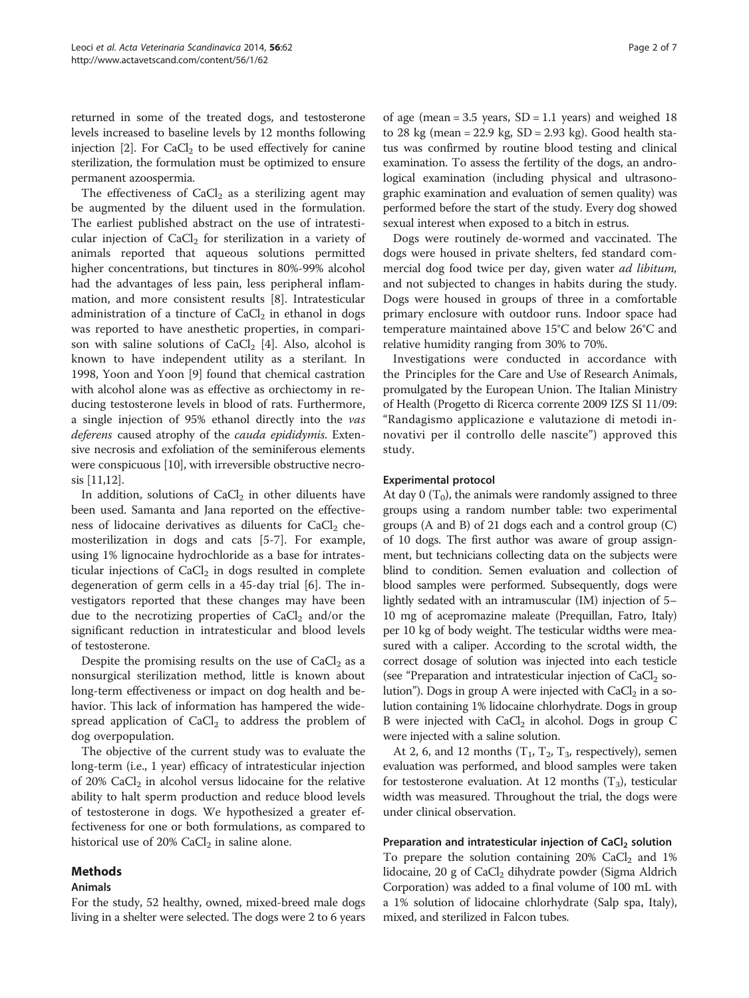returned in some of the treated dogs, and testosterone levels increased to baseline levels by 12 months following injection  $[2]$  $[2]$  $[2]$ . For CaCl<sub>2</sub> to be used effectively for canine sterilization, the formulation must be optimized to ensure permanent azoospermia.

The effectiveness of  $CaCl<sub>2</sub>$  as a sterilizing agent may be augmented by the diluent used in the formulation. The earliest published abstract on the use of intratesticular injection of  $CaCl<sub>2</sub>$  for sterilization in a variety of animals reported that aqueous solutions permitted higher concentrations, but tinctures in 80%-99% alcohol had the advantages of less pain, less peripheral inflammation, and more consistent results [\[8](#page-6-0)]. Intratesticular administration of a tincture of  $CaCl<sub>2</sub>$  in ethanol in dogs was reported to have anesthetic properties, in comparison with saline solutions of  $CaCl<sub>2</sub>$  [[4\]](#page-6-0). Also, alcohol is known to have independent utility as a sterilant. In 1998, Yoon and Yoon [\[9\]](#page-6-0) found that chemical castration with alcohol alone was as effective as orchiectomy in reducing testosterone levels in blood of rats. Furthermore, a single injection of 95% ethanol directly into the vas deferens caused atrophy of the *cauda epididymis*. Extensive necrosis and exfoliation of the seminiferous elements were conspicuous [\[10\]](#page-6-0), with irreversible obstructive necrosis [\[11,12\]](#page-6-0).

In addition, solutions of  $CaCl<sub>2</sub>$  in other diluents have been used. Samanta and Jana reported on the effectiveness of lidocaine derivatives as diluents for  $CaCl<sub>2</sub>$  chemosterilization in dogs and cats [\[5](#page-6-0)-[7\]](#page-6-0). For example, using 1% lignocaine hydrochloride as a base for intratesticular injections of  $CaCl<sub>2</sub>$  in dogs resulted in complete degeneration of germ cells in a 45-day trial [\[6](#page-6-0)]. The investigators reported that these changes may have been due to the necrotizing properties of  $CaCl<sub>2</sub>$  and/or the significant reduction in intratesticular and blood levels of testosterone.

Despite the promising results on the use of  $CaCl<sub>2</sub>$  as a nonsurgical sterilization method, little is known about long-term effectiveness or impact on dog health and behavior. This lack of information has hampered the widespread application of  $CaCl<sub>2</sub>$  to address the problem of dog overpopulation.

The objective of the current study was to evaluate the long-term (i.e., 1 year) efficacy of intratesticular injection of 20%  $CaCl<sub>2</sub>$  in alcohol versus lidocaine for the relative ability to halt sperm production and reduce blood levels of testosterone in dogs. We hypothesized a greater effectiveness for one or both formulations, as compared to historical use of 20%  $CaCl<sub>2</sub>$  in saline alone.

## Methods

#### Animals

For the study, 52 healthy, owned, mixed-breed male dogs living in a shelter were selected. The dogs were 2 to 6 years

of age (mean =  $3.5$  years,  $SD = 1.1$  years) and weighed 18 to 28 kg (mean = 22.9 kg, SD = 2.93 kg). Good health status was confirmed by routine blood testing and clinical examination. To assess the fertility of the dogs, an andrological examination (including physical and ultrasonographic examination and evaluation of semen quality) was performed before the start of the study. Every dog showed sexual interest when exposed to a bitch in estrus.

Dogs were routinely de-wormed and vaccinated. The dogs were housed in private shelters, fed standard commercial dog food twice per day, given water ad libitum, and not subjected to changes in habits during the study. Dogs were housed in groups of three in a comfortable primary enclosure with outdoor runs. Indoor space had temperature maintained above 15°C and below 26°C and relative humidity ranging from 30% to 70%.

Investigations were conducted in accordance with the Principles for the Care and Use of Research Animals, promulgated by the European Union. The Italian Ministry of Health (Progetto di Ricerca corrente 2009 IZS SI 11/09: "Randagismo applicazione e valutazione di metodi innovativi per il controllo delle nascite") approved this study.

#### Experimental protocol

At day 0  $(T_0)$ , the animals were randomly assigned to three groups using a random number table: two experimental groups (A and B) of 21 dogs each and a control group (C) of 10 dogs. The first author was aware of group assignment, but technicians collecting data on the subjects were blind to condition. Semen evaluation and collection of blood samples were performed. Subsequently, dogs were lightly sedated with an intramuscular (IM) injection of 5– 10 mg of acepromazine maleate (Prequillan, Fatro, Italy) per 10 kg of body weight. The testicular widths were measured with a caliper. According to the scrotal width, the correct dosage of solution was injected into each testicle (see "Preparation and intratesticular injection of  $CaCl<sub>2</sub>$  solution"). Dogs in group A were injected with  $CaCl<sub>2</sub>$  in a solution containing 1% lidocaine chlorhydrate. Dogs in group B were injected with  $CaCl<sub>2</sub>$  in alcohol. Dogs in group C were injected with a saline solution.

At 2, 6, and 12 months  $(T_1, T_2, T_3,$  respectively), semen evaluation was performed, and blood samples were taken for testosterone evaluation. At 12 months  $(T_3)$ , testicular width was measured. Throughout the trial, the dogs were under clinical observation.

Preparation and intratesticular injection of  $CaCl<sub>2</sub>$  solution To prepare the solution containing  $20\%$  CaCl<sub>2</sub> and 1% lidocaine, 20 g of  $CaCl<sub>2</sub>$  dihydrate powder (Sigma Aldrich Corporation) was added to a final volume of 100 mL with a 1% solution of lidocaine chlorhydrate (Salp spa, Italy), mixed, and sterilized in Falcon tubes.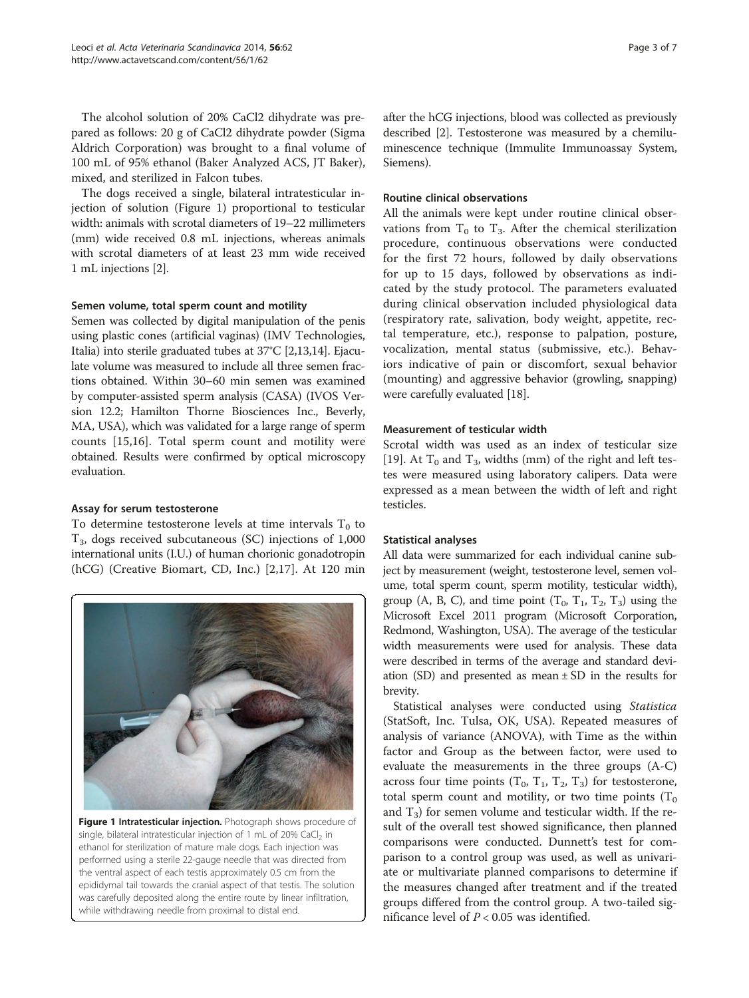The alcohol solution of 20% CaCl2 dihydrate was prepared as follows: 20 g of CaCl2 dihydrate powder (Sigma Aldrich Corporation) was brought to a final volume of 100 mL of 95% ethanol (Baker Analyzed ACS, JT Baker), mixed, and sterilized in Falcon tubes.

The dogs received a single, bilateral intratesticular injection of solution (Figure 1) proportional to testicular width: animals with scrotal diameters of 19–22 millimeters (mm) wide received 0.8 mL injections, whereas animals with scrotal diameters of at least 23 mm wide received 1 mL injections [\[2](#page-6-0)].

## Semen volume, total sperm count and motility

Semen was collected by digital manipulation of the penis using plastic cones (artificial vaginas) (IMV Technologies, Italia) into sterile graduated tubes at 37°C [\[2,13,14](#page-6-0)]. Ejaculate volume was measured to include all three semen fractions obtained. Within 30–60 min semen was examined by computer-assisted sperm analysis (CASA) (IVOS Version 12.2; Hamilton Thorne Biosciences Inc., Beverly, MA, USA), which was validated for a large range of sperm counts [[15,16](#page-6-0)]. Total sperm count and motility were obtained. Results were confirmed by optical microscopy evaluation.

## Assay for serum testosterone

To determine testosterone levels at time intervals  $T_0$  to  $T_3$ , dogs received subcutaneous (SC) injections of 1,000 international units (I.U.) of human chorionic gonadotropin (hCG) (Creative Biomart, CD, Inc.) [\[2,17\]](#page-6-0). At 120 min



Figure 1 Intratesticular injection. Photograph shows procedure of single, bilateral intratesticular injection of 1 mL of 20% CaCl<sub>2</sub> in ethanol for sterilization of mature male dogs. Each injection was performed using a sterile 22-gauge needle that was directed from the ventral aspect of each testis approximately 0.5 cm from the epididymal tail towards the cranial aspect of that testis. The solution was carefully deposited along the entire route by linear infiltration, while withdrawing needle from proximal to distal end.

after the hCG injections, blood was collected as previously described [[2\]](#page-6-0). Testosterone was measured by a chemiluminescence technique (Immulite Immunoassay System, Siemens).

## Routine clinical observations

All the animals were kept under routine clinical observations from  $T_0$  to  $T_3$ . After the chemical sterilization procedure, continuous observations were conducted for the first 72 hours, followed by daily observations for up to 15 days, followed by observations as indicated by the study protocol. The parameters evaluated during clinical observation included physiological data (respiratory rate, salivation, body weight, appetite, rectal temperature, etc.), response to palpation, posture, vocalization, mental status (submissive, etc.). Behaviors indicative of pain or discomfort, sexual behavior (mounting) and aggressive behavior (growling, snapping) were carefully evaluated [\[18\]](#page-6-0).

## Measurement of testicular width

Scrotal width was used as an index of testicular size [[19\]](#page-6-0). At  $T_0$  and  $T_3$ , widths (mm) of the right and left testes were measured using laboratory calipers. Data were expressed as a mean between the width of left and right testicles.

## Statistical analyses

All data were summarized for each individual canine subject by measurement (weight, testosterone level, semen volume, total sperm count, sperm motility, testicular width), group (A, B, C), and time point  $(T_0, T_1, T_2, T_3)$  using the Microsoft Excel 2011 program (Microsoft Corporation, Redmond, Washington, USA). The average of the testicular width measurements were used for analysis. These data were described in terms of the average and standard deviation (SD) and presented as mean  $\pm$  SD in the results for brevity.

Statistical analyses were conducted using Statistica (StatSoft, Inc. Tulsa, OK, USA). Repeated measures of analysis of variance (ANOVA), with Time as the within factor and Group as the between factor, were used to evaluate the measurements in the three groups (A-C) across four time points  $(T_0, T_1, T_2, T_3)$  for testosterone, total sperm count and motility, or two time points  $(T_0)$ and  $T_3$ ) for semen volume and testicular width. If the result of the overall test showed significance, then planned comparisons were conducted. Dunnett's test for comparison to a control group was used, as well as univariate or multivariate planned comparisons to determine if the measures changed after treatment and if the treated groups differed from the control group. A two-tailed significance level of  $P < 0.05$  was identified.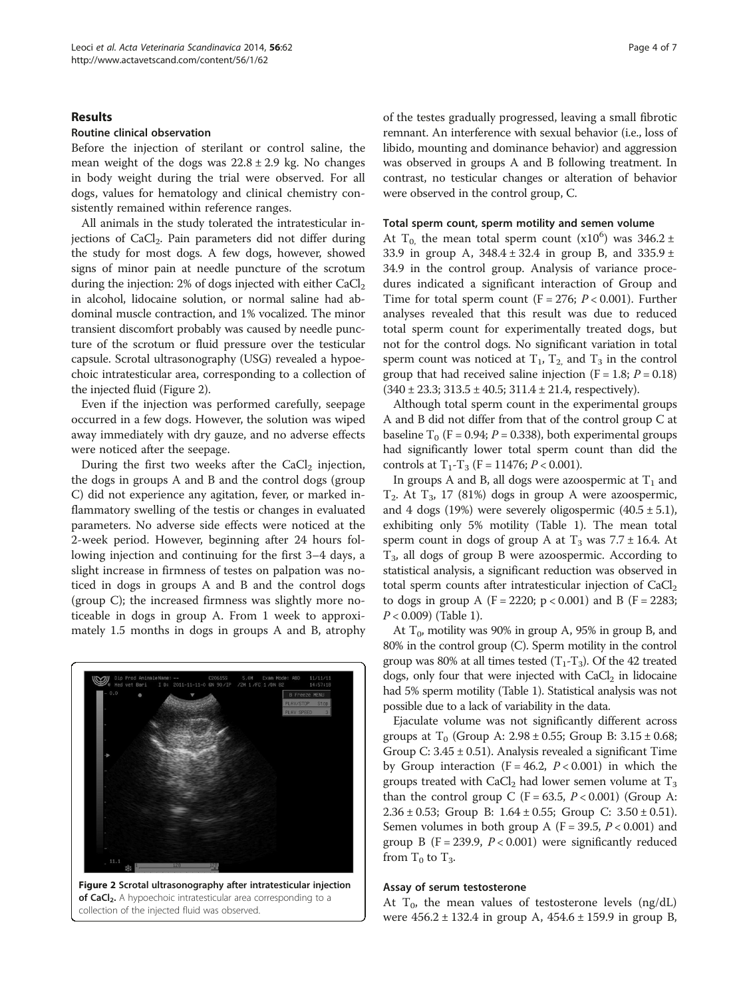## Results

## Routine clinical observation

Before the injection of sterilant or control saline, the mean weight of the dogs was  $22.8 \pm 2.9$  kg. No changes in body weight during the trial were observed. For all dogs, values for hematology and clinical chemistry consistently remained within reference ranges.

All animals in the study tolerated the intratesticular injections of  $CaCl<sub>2</sub>$ . Pain parameters did not differ during the study for most dogs. A few dogs, however, showed signs of minor pain at needle puncture of the scrotum during the injection:  $2\%$  of dogs injected with either  $CaCl<sub>2</sub>$ in alcohol, lidocaine solution, or normal saline had abdominal muscle contraction, and 1% vocalized. The minor transient discomfort probably was caused by needle puncture of the scrotum or fluid pressure over the testicular capsule. Scrotal ultrasonography (USG) revealed a hypoechoic intratesticular area, corresponding to a collection of the injected fluid (Figure 2).

Even if the injection was performed carefully, seepage occurred in a few dogs. However, the solution was wiped away immediately with dry gauze, and no adverse effects were noticed after the seepage.

During the first two weeks after the  $CaCl<sub>2</sub>$  injection, the dogs in groups A and B and the control dogs (group C) did not experience any agitation, fever, or marked inflammatory swelling of the testis or changes in evaluated parameters. No adverse side effects were noticed at the 2-week period. However, beginning after 24 hours following injection and continuing for the first 3–4 days, a slight increase in firmness of testes on palpation was noticed in dogs in groups A and B and the control dogs (group C); the increased firmness was slightly more noticeable in dogs in group A. From 1 week to approximately 1.5 months in dogs in groups A and B, atrophy



collection of the injected fluid was observed.

of the testes gradually progressed, leaving a small fibrotic remnant. An interference with sexual behavior (i.e., loss of libido, mounting and dominance behavior) and aggression was observed in groups A and B following treatment. In contrast, no testicular changes or alteration of behavior were observed in the control group, C.

#### Total sperm count, sperm motility and semen volume

At T<sub>0</sub>, the mean total sperm count  $(x10^6)$  was 346.2 ± 33.9 in group A, 348.4 ± 32.4 in group B, and 335.9 ± 34.9 in the control group. Analysis of variance procedures indicated a significant interaction of Group and Time for total sperm count  $(F = 276; P < 0.001)$ . Further analyses revealed that this result was due to reduced total sperm count for experimentally treated dogs, but not for the control dogs. No significant variation in total sperm count was noticed at  $T_1$ ,  $T_2$  and  $T_3$  in the control group that had received saline injection ( $F = 1.8$ ;  $P = 0.18$ )  $(340 \pm 23.3; 313.5 \pm 40.5; 311.4 \pm 21.4, respectively).$ 

Although total sperm count in the experimental groups A and B did not differ from that of the control group C at baseline  $T_0$  (F = 0.94; P = 0.338), both experimental groups had significantly lower total sperm count than did the controls at  $T_1 - T_3$  (F = 11476; P < 0.001).

In groups A and B, all dogs were azoospermic at  $T_1$  and  $T_2$ . At  $T_3$ , 17 (81%) dogs in group A were azoospermic, and 4 dogs (19%) were severely oligospermic  $(40.5 \pm 5.1)$ , exhibiting only 5% motility (Table [1](#page-4-0)). The mean total sperm count in dogs of group A at  $T_3$  was 7.7 ± 16.4. At  $T_3$ , all dogs of group B were azoospermic. According to statistical analysis, a significant reduction was observed in total sperm counts after intratesticular injection of  $CaCl<sub>2</sub>$ to dogs in group A (F = 2220;  $p < 0.001$ ) and B (F = 2283;  $P < 0.009$ ) (Table [1\)](#page-4-0).

At  $T_0$ , motility was 90% in group A, 95% in group B, and 80% in the control group (C). Sperm motility in the control group was 80% at all times tested  $(T_1-T_3)$ . Of the 42 treated dogs, only four that were injected with  $CaCl<sub>2</sub>$  in lidocaine had 5% sperm motility (Table [1\)](#page-4-0). Statistical analysis was not possible due to a lack of variability in the data.

Ejaculate volume was not significantly different across groups at  $T_0$  (Group A: 2.98  $\pm$  0.55; Group B: 3.15  $\pm$  0.68; Group C:  $3.45 \pm 0.51$ ). Analysis revealed a significant Time by Group interaction ( $F = 46.2$ ,  $P < 0.001$ ) in which the groups treated with  $CaCl<sub>2</sub>$  had lower semen volume at  $T<sub>3</sub>$ than the control group C ( $F = 63.5$ ,  $P < 0.001$ ) (Group A: 2.36 ± 0.53; Group B: 1.64 ± 0.55; Group C: 3.50 ± 0.51). Semen volumes in both group A ( $F = 39.5$ ,  $P < 0.001$ ) and group B (F = 239.9,  $P < 0.001$ ) were significantly reduced from  $T_0$  to  $T_3$ .

#### Assay of serum testosterone

At  $T_0$ , the mean values of testosterone levels (ng/dL) were 456.2 ± 132.4 in group A, 454.6 ± 159.9 in group B,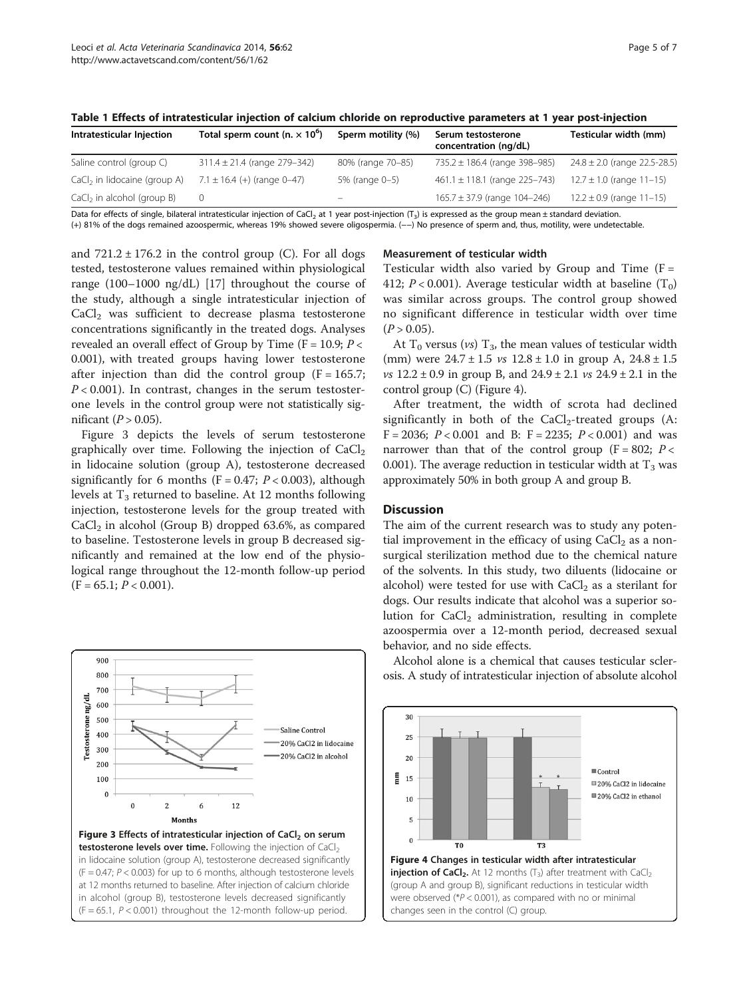| Intratesticular Injection      | Total sperm count (n. $\times$ 10 <sup>6</sup> ) | Sperm motility (%) | Serum testosterone<br>concentration (ng/dL) | Testicular width (mm)            |
|--------------------------------|--------------------------------------------------|--------------------|---------------------------------------------|----------------------------------|
| Saline control (group C)       | $311.4 \pm 21.4$ (range 279-342)                 | 80% (range 70-85)  | 735.2 $\pm$ 186.4 (range 398-985)           | $24.8 \pm 2.0$ (range 22.5-28.5) |
| $CaCl2$ in lidocaine (group A) | $7.1 \pm 16.4$ (+) (range 0-47)                  | 5% (range 0-5)     | $461.1 \pm 118.1$ (range 225-743)           | $12.7 \pm 1.0$ (range $11-15$ )  |

 $CaCl<sub>2</sub>$  in alcohol (group B) 0 – 165.7 ± 37.9 (range 104–246) 12.2 ± 0.9 (range 11–15)

<span id="page-4-0"></span>Table 1 Effects of intratesticular injection of calcium chloride on reproductive parameters at 1 year post-injection

Data for effects of single, bilateral intratesticular injection of CaCl<sub>2</sub> at 1 year post-injection (T<sub>3</sub>) is expressed as the group mean ± standard deviation. (+) 81% of the dogs remained azoospermic, whereas 19% showed severe oligospermia. (−−) No presence of sperm and, thus, motility, were undetectable.

and  $721.2 \pm 176.2$  in the control group (C). For all dogs tested, testosterone values remained within physiological range (100–1000 ng/dL) [\[17](#page-6-0)] throughout the course of the study, although a single intratesticular injection of CaCl<sub>2</sub> was sufficient to decrease plasma testosterone concentrations significantly in the treated dogs. Analyses revealed an overall effect of Group by Time ( $F = 10.9; P <$ 0.001), with treated groups having lower testosterone after injection than did the control group  $(F = 165.7;$  $P < 0.001$ ). In contrast, changes in the serum testosterone levels in the control group were not statistically significant  $(P > 0.05)$ .

Figure 3 depicts the levels of serum testosterone graphically over time. Following the injection of  $CaCl<sub>2</sub>$ in lidocaine solution (group A), testosterone decreased significantly for 6 months (F = 0.47;  $P < 0.003$ ), although levels at  $T_3$  returned to baseline. At 12 months following injection, testosterone levels for the group treated with  $CaCl<sub>2</sub>$  in alcohol (Group B) dropped 63.6%, as compared to baseline. Testosterone levels in group B decreased significantly and remained at the low end of the physiological range throughout the 12-month follow-up period  $(F = 65.1; P < 0.001).$ 



## Measurement of testicular width

Testicular width also varied by Group and Time  $(F =$ 412;  $P < 0.001$ ). Average testicular width at baseline  $(T_0)$ was similar across groups. The control group showed no significant difference in testicular width over time  $(P > 0.05)$ .

At  $T_0$  versus (*vs*)  $T_3$ , the mean values of testicular width (mm) were  $24.7 \pm 1.5$  vs  $12.8 \pm 1.0$  in group A,  $24.8 \pm 1.5$  $vs$  12.2  $\pm$  0.9 in group B, and 24.9  $\pm$  2.1  $vs$  24.9  $\pm$  2.1 in the control group (C) (Figure 4).

After treatment, the width of scrota had declined significantly in both of the  $CaCl<sub>2</sub>$ -treated groups (A:  $F = 2036$ ;  $P < 0.001$  and B:  $F = 2235$ ;  $P < 0.001$ ) and was narrower than that of the control group ( $F = 802$ ;  $P <$ 0.001). The average reduction in testicular width at  $T_3$  was approximately 50% in both group A and group B.

## **Discussion**

The aim of the current research was to study any potential improvement in the efficacy of using  $CaCl<sub>2</sub>$  as a nonsurgical sterilization method due to the chemical nature of the solvents. In this study, two diluents (lidocaine or alcohol) were tested for use with  $CaCl<sub>2</sub>$  as a sterilant for dogs. Our results indicate that alcohol was a superior solution for  $CaCl<sub>2</sub>$  administration, resulting in complete azoospermia over a 12-month period, decreased sexual behavior, and no side effects.

Alcohol alone is a chemical that causes testicular sclerosis. A study of intratesticular injection of absolute alcohol

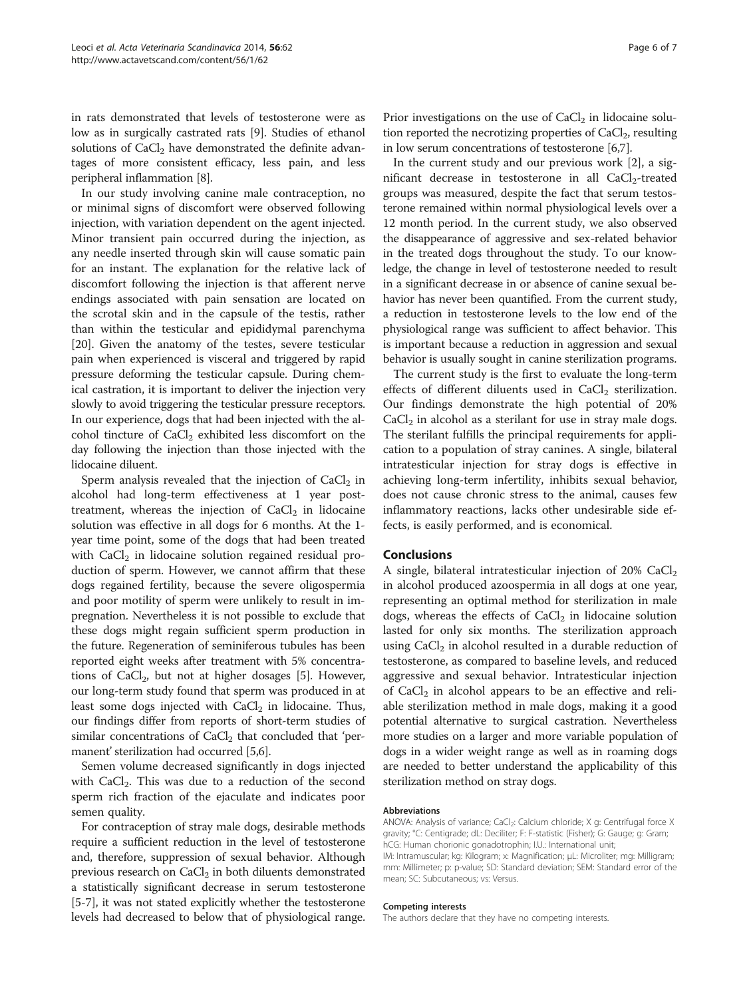in rats demonstrated that levels of testosterone were as low as in surgically castrated rats [\[9](#page-6-0)]. Studies of ethanol solutions of  $CaCl<sub>2</sub>$  have demonstrated the definite advantages of more consistent efficacy, less pain, and less peripheral inflammation [\[8](#page-6-0)].

In our study involving canine male contraception, no or minimal signs of discomfort were observed following injection, with variation dependent on the agent injected. Minor transient pain occurred during the injection, as any needle inserted through skin will cause somatic pain for an instant. The explanation for the relative lack of discomfort following the injection is that afferent nerve endings associated with pain sensation are located on the scrotal skin and in the capsule of the testis, rather than within the testicular and epididymal parenchyma [[20\]](#page-6-0). Given the anatomy of the testes, severe testicular pain when experienced is visceral and triggered by rapid pressure deforming the testicular capsule. During chemical castration, it is important to deliver the injection very slowly to avoid triggering the testicular pressure receptors. In our experience, dogs that had been injected with the alcohol tincture of  $CaCl<sub>2</sub>$  exhibited less discomfort on the day following the injection than those injected with the lidocaine diluent.

Sperm analysis revealed that the injection of  $CaCl<sub>2</sub>$  in alcohol had long-term effectiveness at 1 year posttreatment, whereas the injection of  $CaCl<sub>2</sub>$  in lidocaine solution was effective in all dogs for 6 months. At the 1 year time point, some of the dogs that had been treated with  $CaCl<sub>2</sub>$  in lidocaine solution regained residual production of sperm. However, we cannot affirm that these dogs regained fertility, because the severe oligospermia and poor motility of sperm were unlikely to result in impregnation. Nevertheless it is not possible to exclude that these dogs might regain sufficient sperm production in the future. Regeneration of seminiferous tubules has been reported eight weeks after treatment with 5% concentrations of  $CaCl<sub>2</sub>$ , but not at higher dosages [[5\]](#page-6-0). However, our long-term study found that sperm was produced in at least some dogs injected with  $CaCl<sub>2</sub>$  in lidocaine. Thus, our findings differ from reports of short-term studies of similar concentrations of  $CaCl<sub>2</sub>$  that concluded that 'permanent' sterilization had occurred [[5,6](#page-6-0)].

Semen volume decreased significantly in dogs injected with  $CaCl<sub>2</sub>$ . This was due to a reduction of the second sperm rich fraction of the ejaculate and indicates poor semen quality.

For contraception of stray male dogs, desirable methods require a sufficient reduction in the level of testosterone and, therefore, suppression of sexual behavior. Although previous research on  $CaCl<sub>2</sub>$  in both diluents demonstrated a statistically significant decrease in serum testosterone [[5-7\]](#page-6-0), it was not stated explicitly whether the testosterone levels had decreased to below that of physiological range.

Prior investigations on the use of  $CaCl<sub>2</sub>$  in lidocaine solution reported the necrotizing properties of  $CaCl<sub>2</sub>$ , resulting in low serum concentrations of testosterone [\[6,7\]](#page-6-0).

In the current study and our previous work [\[2](#page-6-0)], a significant decrease in testosterone in all  $CaCl<sub>2</sub>$ -treated groups was measured, despite the fact that serum testosterone remained within normal physiological levels over a 12 month period. In the current study, we also observed the disappearance of aggressive and sex-related behavior in the treated dogs throughout the study. To our knowledge, the change in level of testosterone needed to result in a significant decrease in or absence of canine sexual behavior has never been quantified. From the current study, a reduction in testosterone levels to the low end of the physiological range was sufficient to affect behavior. This is important because a reduction in aggression and sexual behavior is usually sought in canine sterilization programs.

The current study is the first to evaluate the long-term effects of different diluents used in  $CaCl<sub>2</sub>$  sterilization. Our findings demonstrate the high potential of 20%  $CaCl<sub>2</sub>$  in alcohol as a sterilant for use in stray male dogs. The sterilant fulfills the principal requirements for application to a population of stray canines. A single, bilateral intratesticular injection for stray dogs is effective in achieving long-term infertility, inhibits sexual behavior, does not cause chronic stress to the animal, causes few inflammatory reactions, lacks other undesirable side effects, is easily performed, and is economical.

## Conclusions

A single, bilateral intratesticular injection of 20%  $CaCl<sub>2</sub>$ in alcohol produced azoospermia in all dogs at one year, representing an optimal method for sterilization in male dogs, whereas the effects of  $CaCl<sub>2</sub>$  in lidocaine solution lasted for only six months. The sterilization approach using  $CaCl<sub>2</sub>$  in alcohol resulted in a durable reduction of testosterone, as compared to baseline levels, and reduced aggressive and sexual behavior. Intratesticular injection of  $CaCl<sub>2</sub>$  in alcohol appears to be an effective and reliable sterilization method in male dogs, making it a good potential alternative to surgical castration. Nevertheless more studies on a larger and more variable population of dogs in a wider weight range as well as in roaming dogs are needed to better understand the applicability of this sterilization method on stray dogs.

#### Abbreviations

ANOVA: Analysis of variance; CaCl<sub>2</sub>: Calcium chloride; X g: Centrifugal force X gravity; °C: Centigrade; dL: Deciliter; F: F-statistic (Fisher); G: Gauge; g: Gram; hCG: Human chorionic gonadotrophin; I.U.: International unit; IM: Intramuscular; kg: Kilogram; x: Magnification; μL: Microliter; mg: Milligram; mm: Millimeter; p: p-value; SD: Standard deviation; SEM: Standard error of the mean; SC: Subcutaneous; vs: Versus.

#### Competing interests

The authors declare that they have no competing interests.